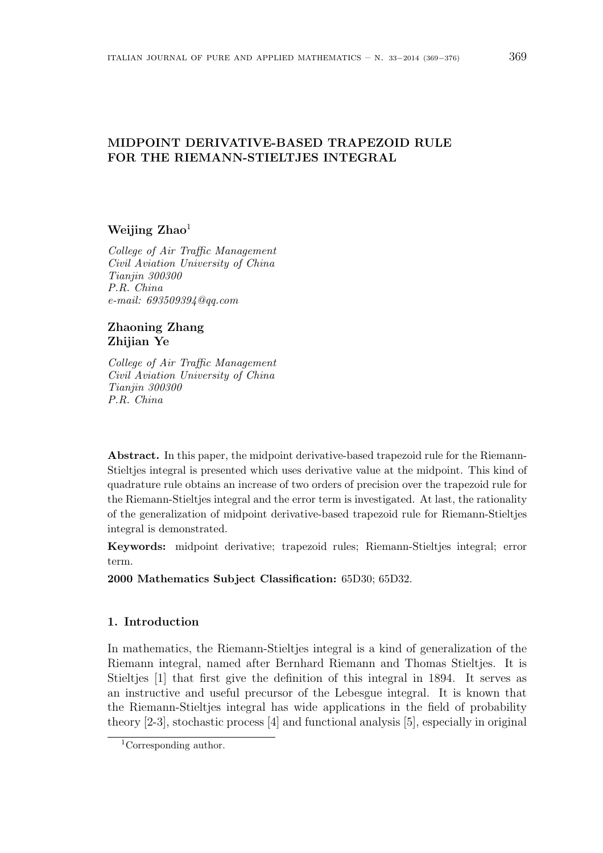# MIDPOINT DERIVATIVE-BASED TRAPEZOID RULE FOR THE RIEMANN-STIELTJES INTEGRAL

#### Weijing  $\rm Zhao<sup>1</sup>$

College of Air Traffic Management Civil Aviation University of China Tianjin 300300 P.R. China e-mail: 693509394@qq.com

### Zhaoning Zhang Zhijian Ye

College of Air Traffic Management Civil Aviation University of China Tianjin 300300 P.R. China

Abstract. In this paper, the midpoint derivative-based trapezoid rule for the Riemann-Stieltjes integral is presented which uses derivative value at the midpoint. This kind of quadrature rule obtains an increase of two orders of precision over the trapezoid rule for the Riemann-Stieltjes integral and the error term is investigated. At last, the rationality of the generalization of midpoint derivative-based trapezoid rule for Riemann-Stieltjes integral is demonstrated.

Keywords: midpoint derivative; trapezoid rules; Riemann-Stieltjes integral; error term.

2000 Mathematics Subject Classification: 65D30; 65D32.

## 1. Introduction

In mathematics, the Riemann-Stieltjes integral is a kind of generalization of the Riemann integral, named after Bernhard Riemann and Thomas Stieltjes. It is Stieltjes [1] that first give the definition of this integral in 1894. It serves as an instructive and useful precursor of the Lebesgue integral. It is known that the Riemann-Stieltjes integral has wide applications in the field of probability theory [2-3], stochastic process [4] and functional analysis [5], especially in original

<sup>1</sup>Corresponding author.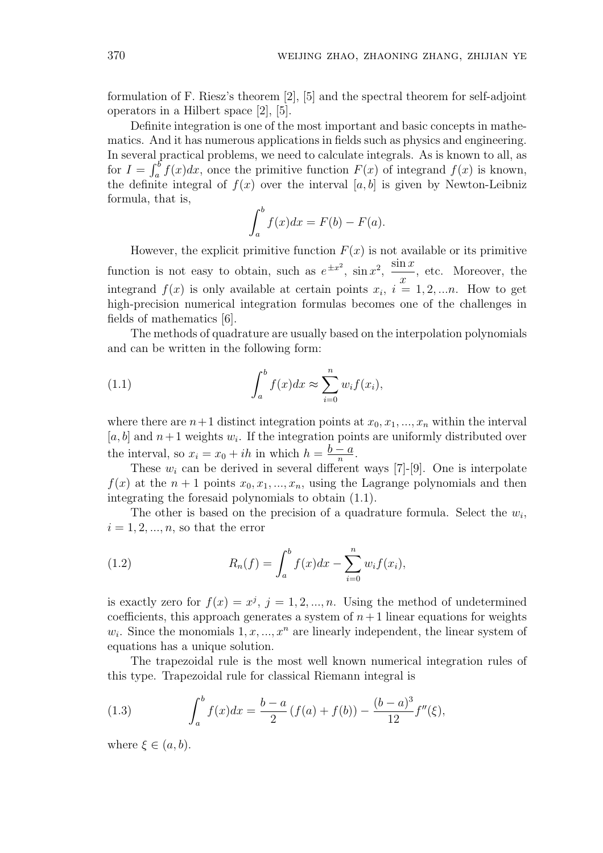formulation of F. Riesz's theorem [2], [5] and the spectral theorem for self-adjoint operators in a Hilbert space [2], [5].

Definite integration is one of the most important and basic concepts in mathematics. And it has numerous applications in fields such as physics and engineering. In several practical problems, we need to calculate integrals. As is known to all, as for  $I = \int_a^b f(x)dx$ , once the primitive function  $F(x)$  of integrand  $f(x)$  is known, the definite integral of  $f(x)$  over the interval [a, b] is given by Newton-Leibniz formula, that is,

$$
\int_a^b f(x)dx = F(b) - F(a).
$$

However, the explicit primitive function  $F(x)$  is not available or its primitive function is not easy to obtain, such as  $e^{\pm x^2}$ ,  $\sin x^2$ ,  $\sin x$  $\overline{x}$ , etc. Moreover, the integrand  $f(x)$  is only available at certain points  $x_i$ ,  $i = 1, 2, \ldots n$ . How to get high-precision numerical integration formulas becomes one of the challenges in fields of mathematics [6].

The methods of quadrature are usually based on the interpolation polynomials and can be written in the following form:

(1.1) 
$$
\int_a^b f(x)dx \approx \sum_{i=0}^n w_i f(x_i),
$$

where there are  $n+1$  distinct integration points at  $x_0, x_1, ..., x_n$  within the interval [a, b] and  $n+1$  weights  $w_i$ . If the integration points are uniformly distributed over the interval, so  $x_i = x_0 + ih$  in which  $h = \frac{b-a}{n}$  $\frac{a}{n}$ .

These  $w_i$  can be derived in several different ways [7]-[9]. One is interpolate  $f(x)$  at the  $n+1$  points  $x_0, x_1, ..., x_n$ , using the Lagrange polynomials and then integrating the foresaid polynomials to obtain (1.1).

The other is based on the precision of a quadrature formula. Select the  $w_i$ ,  $i = 1, 2, ..., n$ , so that the error

(1.2) 
$$
R_n(f) = \int_a^b f(x)dx - \sum_{i=0}^n w_i f(x_i),
$$

is exactly zero for  $f(x) = x^{j}$ ,  $j = 1, 2, ..., n$ . Using the method of undetermined coefficients, this approach generates a system of  $n+1$  linear equations for weights  $w_i$ . Since the monomials  $1, x, ..., x^n$  are linearly independent, the linear system of equations has a unique solution.

The trapezoidal rule is the most well known numerical integration rules of this type. Trapezoidal rule for classical Riemann integral is

(1.3) 
$$
\int_{a}^{b} f(x)dx = \frac{b-a}{2} (f(a) + f(b)) - \frac{(b-a)^{3}}{12} f''(\xi),
$$

where  $\xi \in (a, b)$ .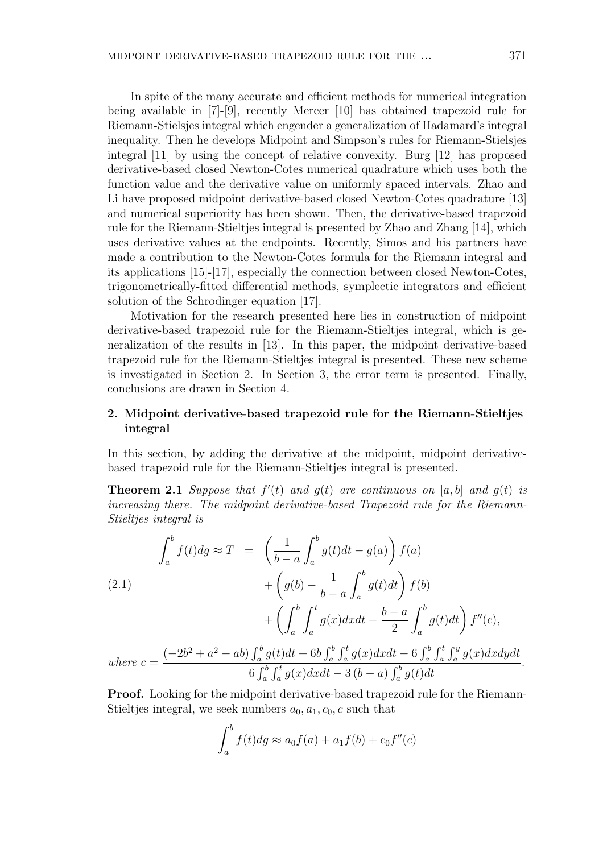In spite of the many accurate and efficient methods for numerical integration being available in [7]-[9], recently Mercer [10] has obtained trapezoid rule for Riemann-Stielsjes integral which engender a generalization of Hadamard's integral inequality. Then he develops Midpoint and Simpson's rules for Riemann-Stielsjes integral [11] by using the concept of relative convexity. Burg [12] has proposed derivative-based closed Newton-Cotes numerical quadrature which uses both the function value and the derivative value on uniformly spaced intervals. Zhao and Li have proposed midpoint derivative-based closed Newton-Cotes quadrature [13] and numerical superiority has been shown. Then, the derivative-based trapezoid rule for the Riemann-Stieltjes integral is presented by Zhao and Zhang [14], which uses derivative values at the endpoints. Recently, Simos and his partners have made a contribution to the Newton-Cotes formula for the Riemann integral and its applications [15]-[17], especially the connection between closed Newton-Cotes, trigonometrically-fitted differential methods, symplectic integrators and efficient solution of the Schrodinger equation [17].

Motivation for the research presented here lies in construction of midpoint derivative-based trapezoid rule for the Riemann-Stieltjes integral, which is generalization of the results in [13]. In this paper, the midpoint derivative-based trapezoid rule for the Riemann-Stieltjes integral is presented. These new scheme is investigated in Section 2. In Section 3, the error term is presented. Finally, conclusions are drawn in Section 4.

#### 2. Midpoint derivative-based trapezoid rule for the Riemann-Stieltjes integral

In this section, by adding the derivative at the midpoint, midpoint derivativebased trapezoid rule for the Riemann-Stieltjes integral is presented.

**Theorem 2.1** Suppose that  $f'(t)$  and  $g(t)$  are continuous on [a, b] and  $g(t)$  is increasing there. The midpoint derivative-based Trapezoid rule for the Riemann-Stieltjes integral is

$$
\int_{a}^{b} f(t)dg \approx T = \left(\frac{1}{b-a} \int_{a}^{b} g(t)dt - g(a)\right) f(a)
$$
\n
$$
+ \left(g(b) - \frac{1}{b-a} \int_{a}^{b} g(t)dt\right) f(b)
$$
\n
$$
+ \left(\int_{a}^{b} \int_{a}^{t} g(x)dxdt - \frac{b-a}{2} \int_{a}^{b} g(t)dt\right) f''(c),
$$
\nwhere  $c = \frac{(-2b^2 + a^2 - ab) \int_{a}^{b} g(t)dt + 6b \int_{a}^{b} \int_{a}^{t} g(x)dxdt - 6 \int_{a}^{b} \int_{a}^{t} g(x)dxdydt}{6 \int_{a}^{b} \int_{a}^{t} g(x)dxdt - 3(b-a) \int_{a}^{b} g(t)dt}.$ 

Proof. Looking for the midpoint derivative-based trapezoid rule for the Riemann-Stieltjes integral, we seek numbers  $a_0, a_1, c_0, c$  such that

$$
\int_a^b f(t)dg \approx a_0 f(a) + a_1 f(b) + c_0 f''(c)
$$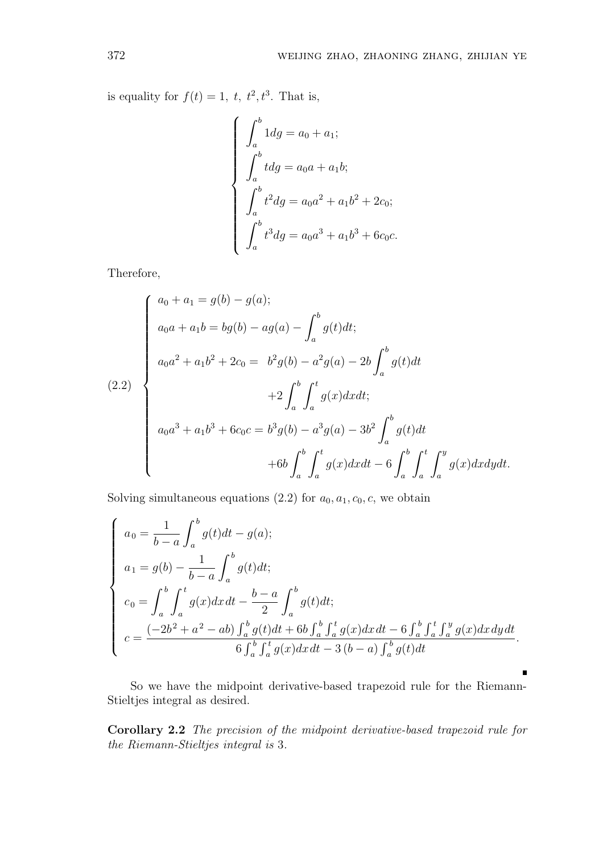is equality for  $f(t) = 1$ ,  $t$ ,  $t^2$ ,  $t^3$ . That is,

$$
\begin{cases}\n\int_a^b 1 dg = a_0 + a_1; \\
\int_a^b t dg = a_0 a + a_1 b; \\
\int_a^b t^2 dg = a_0 a^2 + a_1 b^2 + 2c_0; \\
\int_a^b t^3 dg = a_0 a^3 + a_1 b^3 + 6c_0 c.\n\end{cases}
$$

Therefore,

$$
(2.2)
$$
\n
$$
\begin{cases}\na_0 + a_1 = g(b) - g(a); \\
a_0a + a_1b = bg(b) - ag(a) - \int_a^b g(t)dt; \\
a_0a^2 + a_1b^2 + 2c_0 = b^2g(b) - a^2g(a) - 2b \int_a^b g(t)dt \\
+ 2 \int_a^b \int_a^t g(x)dxdt; \\
a_0a^3 + a_1b^3 + 6c_0c = b^3g(b) - a^3g(a) - 3b^2 \int_a^b g(t)dt \\
+ 6b \int_a^b \int_a^t g(x)dxdt - 6 \int_a^b \int_a^t \int_a^y g(x)dxdydt.\n\end{cases}
$$

Solving simultaneous equations (2.2) for  $a_0, a_1, c_0, c$ , we obtain

$$
\begin{cases}\na_0 = \frac{1}{b-a} \int_a^b g(t)dt - g(a); \\
a_1 = g(b) - \frac{1}{b-a} \int_a^b g(t)dt; \\
c_0 = \int_a^b \int_a^t g(x)dxdt - \frac{b-a}{2} \int_a^b g(t)dt; \\
c = \frac{(-2b^2 + a^2 - ab) \int_a^b g(t)dt + 6b \int_a^b \int_a^t g(x)dxdt - 6 \int_a^b \int_a^t \int_a^y g(x)dxdydt}{6 \int_a^b \int_a^t g(x)dxdt - 3(b-a) \int_a^b g(t)dt}.\n\end{cases}
$$

So we have the midpoint derivative-based trapezoid rule for the Riemann-Stieltjes integral as desired.

n

Corollary 2.2 The precision of the midpoint derivative-based trapezoid rule for the Riemann-Stieltjes integral is 3.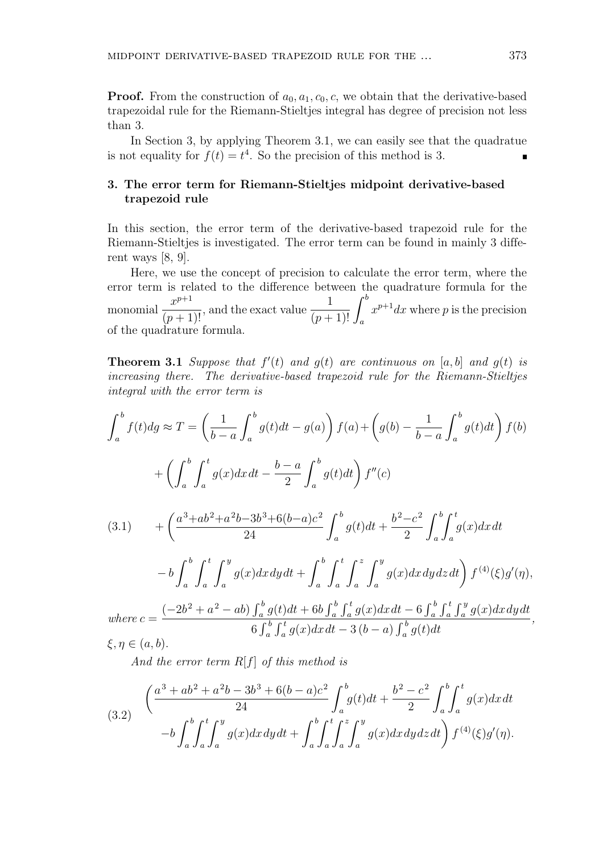**Proof.** From the construction of  $a_0, a_1, c_0, c$ , we obtain that the derivative-based trapezoidal rule for the Riemann-Stieltjes integral has degree of precision not less than 3.

In Section 3, by applying Theorem 3.1, we can easily see that the quadratue is not equality for  $f(t) = t^4$ . So the precision of this method is 3.

# 3. The error term for Riemann-Stieltjes midpoint derivative-based trapezoid rule

In this section, the error term of the derivative-based trapezoid rule for the Riemann-Stieltjes is investigated. The error term can be found in mainly 3 different ways  $[8, 9]$ .

Here, we use the concept of precision to calculate the error term, where the error term is related to the difference between the quadrature formula for the erior term is related to the difference between the<br>monomial  $\frac{x^{p+1}}{(p+1)!}$ , and the exact value  $\frac{1}{(p+1)!} \int_a^b$  $x^{p+1}dx$  where p is the precision of the quadrature formula.

**Theorem 3.1** Suppose that  $f'(t)$  and  $g(t)$  are continuous on [a, b] and  $g(t)$  is increasing there. The derivative-based trapezoid rule for the Riemann-Stieltjes integral with the error term is

$$
\int_{a}^{b} f(t)dg \approx T = \left(\frac{1}{b-a} \int_{a}^{b} g(t)dt - g(a)\right) f(a) + \left(g(b) - \frac{1}{b-a} \int_{a}^{b} g(t)dt\right) f(b)
$$
  
+ 
$$
\left(\int_{a}^{b} \int_{a}^{t} g(x)dxdt - \frac{b-a}{2} \int_{a}^{b} g(t)dt\right) f''(c)
$$
  
(3.1) 
$$
+ \left(\frac{a^{3}+ab^{2}+a^{2}b-3b^{3}+6(b-a)c^{2}}{24} \int_{a}^{b} g(t)dt + \frac{b^{2}-c^{2}}{2} \int_{a}^{b} \int_{a}^{t} g(x)dxdt
$$
  
- 
$$
-b \int_{a}^{b} \int_{a}^{t} \int_{a}^{y} g(x)dx dy dt + \int_{a}^{b} \int_{a}^{t} \int_{a}^{z} \int_{a}^{y} g(x)dx dy dz dt\right) f^{(4)}(\xi)g'(\eta),
$$
  

$$
(-2b^{2}+a^{2}-ab) \int_{a}^{b} g(t)dt + 6b \int_{a}^{b} \int_{a}^{t} g(x)dx dt = 6 \int_{a}^{b} \int_{a}^{t} \int_{a}^{y} g(x)dx du dt
$$

where 
$$
c = \frac{(-2b^2 + a^2 - ab) \int_a^b g(t)dt + 6b \int_a^b \int_a^t g(x)dx dt - 6 \int_a^b \int_a^t \int_a^y g(x)dx dy dt}{6 \int_a^b \int_a^t g(x)dx dt - 3(b-a) \int_a^b g(t)dt}
$$
,  
\n $\xi, \eta \in (a, b).$ 

And the error term  $R[f]$  of this method is

(3.2) 
$$
\left(\frac{a^3 + ab^2 + a^2b - 3b^3 + 6(b - a)c^2}{24} \int_a^b g(t)dt + \frac{b^2 - c^2}{2} \int_a^b \int_a^t g(x)dx\,dt - b \int_a^b \int_a^t \int_a^y g(x)dx\,dy\,dt + \int_a^b \int_a^t \int_a^z \int_a^y g(x)dx\,dy\,dz\,dt\right) f^{(4)}(\xi)g'(\eta).
$$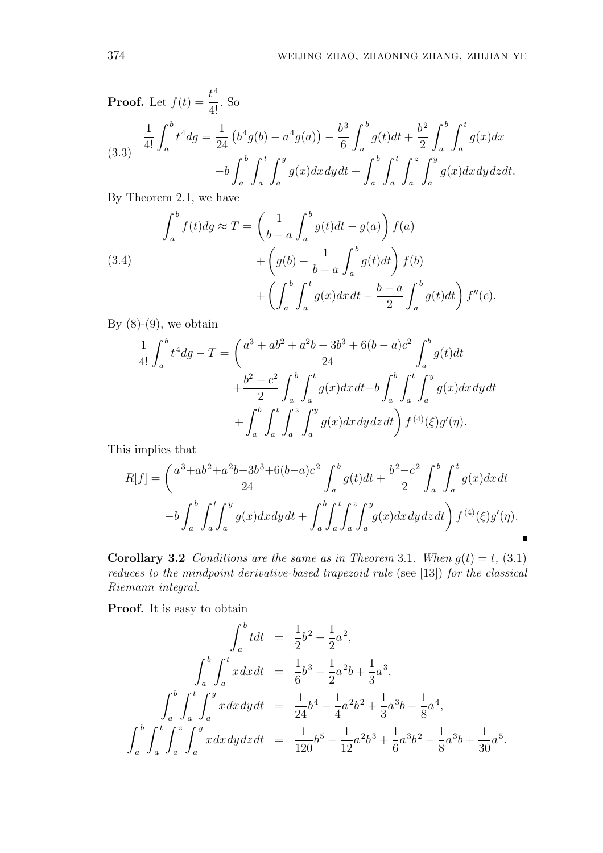**Proof.** Let 
$$
f(t) = \frac{t^4}{4!}
$$
. So  
\n
$$
\frac{1}{4!} \int_a^b t^4 dg = \frac{1}{24} \left( b^4 g(b) - a^4 g(a) \right) - \frac{b^3}{6} \int_a^b g(t) dt + \frac{b^2}{2} \int_a^b \int_a^t g(x) dx
$$
\n
$$
-b \int_a^b \int_a^t \int_a^y g(x) dx dy dt + \int_a^b \int_a^t \int_a^y \int_a^y g(x) dx dy dz dt.
$$

By Theorem 2.1, we have

(3.4)  

$$
\int_{a}^{b} f(t)dg \approx T = \left(\frac{1}{b-a} \int_{a}^{b} g(t)dt - g(a)\right) f(a)
$$

$$
+ \left(g(b) - \frac{1}{b-a} \int_{a}^{b} g(t)dt\right) f(b)
$$

$$
+ \left(\int_{a}^{b} \int_{a}^{t} g(x)dxdt - \frac{b-a}{2} \int_{a}^{b} g(t)dt\right) f''(c).
$$

By  $(8)-(9)$ , we obtain

$$
\frac{1}{4!} \int_{a}^{b} t^{4} dg - T = \left( \frac{a^{3} + ab^{2} + a^{2}b - 3b^{3} + 6(b - a)c^{2}}{24} \int_{a}^{b} g(t) dt + \frac{b^{2} - c^{2}}{2} \int_{a}^{b} \int_{a}^{t} g(x) dx dt - b \int_{a}^{b} \int_{a}^{t} \int_{a}^{y} g(x) dx dy dt + \int_{a}^{b} \int_{a}^{t} \int_{a}^{z} \int_{a}^{y} g(x) dx dy dz dt \right) f^{(4)}(\xi) g'(\eta).
$$

This implies that

$$
R[f] = \left(\frac{a^3 + ab^2 + a^2b - 3b^3 + 6(b - a)c^2}{24} \int_a^b g(t)dt + \frac{b^2 - c^2}{2} \int_a^b \int_a^t g(x)dx\,dt - b \int_a^b \int_a^t \int_a^y g(x)dx\,dy\,dt + \int_a^b \int_a^t \int_a^z \int_a^y g(x)dx\,dy\,dz\,dt\right) f^{(4)}(\xi)g'(\eta).
$$

**Corollary 3.2** Conditions are the same as in Theorem 3.1. When  $g(t) = t$ , (3.1) reduces to the mindpoint derivative-based trapezoid rule (see [13]) for the classical Riemann integral.

Proof. It is easy to obtain

$$
\int_{a}^{b} t dt = \frac{1}{2}b^{2} - \frac{1}{2}a^{2},
$$
\n
$$
\int_{a}^{b} \int_{a}^{t} x dx dt = \frac{1}{6}b^{3} - \frac{1}{2}a^{2}b + \frac{1}{3}a^{3},
$$
\n
$$
\int_{a}^{b} \int_{a}^{t} \int_{a}^{y} x dx dy dt = \frac{1}{24}b^{4} - \frac{1}{4}a^{2}b^{2} + \frac{1}{3}a^{3}b - \frac{1}{8}a^{4},
$$
\n
$$
\int_{a}^{b} \int_{a}^{t} \int_{a}^{z} \int_{a}^{y} x dx dy dz dt = \frac{1}{120}b^{5} - \frac{1}{12}a^{2}b^{3} + \frac{1}{6}a^{3}b^{2} - \frac{1}{8}a^{3}b + \frac{1}{30}a^{5}.
$$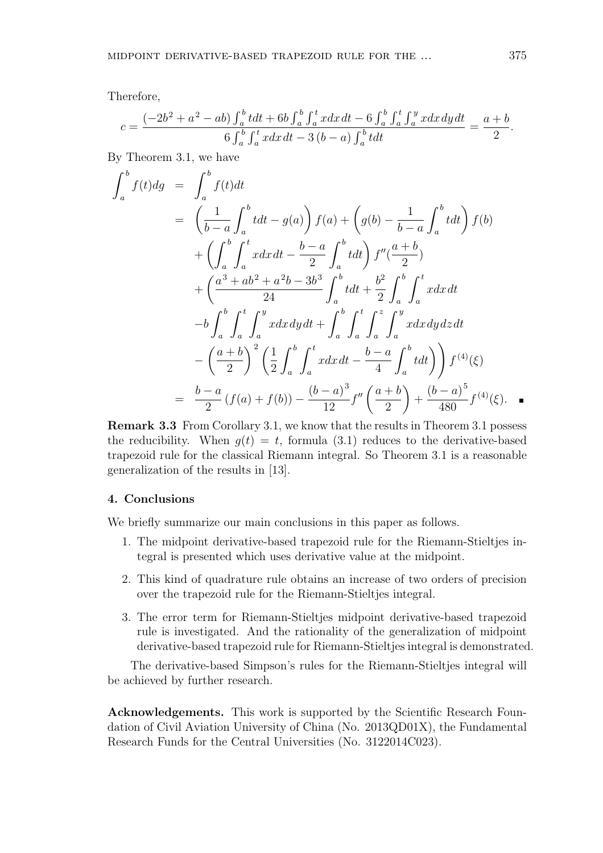Therefore,

$$
c = \frac{(-2b^2 + a^2 - ab) \int_a^b t dt + 6b \int_a^b \int_a^t x dx dt - 6 \int_a^b \int_a^t \int_a^y x dx dy dt}{6 \int_a^b \int_a^t x dx dt - 3(b - a) \int_a^b t dt} = \frac{a + b}{2}.
$$

By Theorem 3.1, we have

 $\mathbf{z}$ 

$$
\int_{a}^{b} f(t)dg = \int_{a}^{b} f(t)dt
$$
\n
$$
= \left(\frac{1}{b-a} \int_{a}^{b} tdt - g(a)\right) f(a) + \left(g(b) - \frac{1}{b-a} \int_{a}^{b} tdt\right) f(b)
$$
\n
$$
+ \left(\int_{a}^{b} \int_{a}^{t} xdxdt - \frac{b-a}{2} \int_{a}^{b} tdt\right) f''(\frac{a+b}{2})
$$
\n
$$
+ \left(\frac{a^{3} + ab^{2} + a^{2}b - 3b^{3}}{24} \int_{a}^{b} tdt + \frac{b^{2}}{2} \int_{a}^{b} \int_{a}^{t} xdxdt
$$
\n
$$
-b \int_{a}^{b} \int_{a}^{t} \int_{a}^{y} xdxdydt + \int_{a}^{b} \int_{a}^{t} \int_{a}^{z} \int_{a}^{y} xdxdydzdt
$$
\n
$$
- \left(\frac{a+b}{2}\right)^{2} \left(\frac{1}{2} \int_{a}^{b} \int_{a}^{t} xdxdt - \frac{b-a}{4} \int_{a}^{b} tdt\right) \right) f^{(4)}(\xi)
$$
\n
$$
= \frac{b-a}{2} (f(a) + f(b)) - \frac{(b-a)^{3}}{12} f''\left(\frac{a+b}{2}\right) + \frac{(b-a)^{5}}{480} f^{(4)}(\xi).
$$

Remark 3.3 From Corollary 3.1, we know that the results in Theorem 3.1 possess the reducibility. When  $q(t) = t$ , formula (3.1) reduces to the derivative-based trapezoid rule for the classical Riemann integral. So Theorem 3.1 is a reasonable generalization of the results in [13].

#### 4. Conclusions

We briefly summarize our main conclusions in this paper as follows.

- 1. The midpoint derivative-based trapezoid rule for the Riemann-Stieltjes integral is presented which uses derivative value at the midpoint.
- 2. This kind of quadrature rule obtains an increase of two orders of precision over the trapezoid rule for the Riemann-Stieltjes integral.
- 3. The error term for Riemann-Stieltjes midpoint derivative-based trapezoid rule is investigated. And the rationality of the generalization of midpoint derivative-based trapezoid rule for Riemann-Stieltjes integral is demonstrated.

The derivative-based Simpson's rules for the Riemann-Stieltjes integral will be achieved by further research.

Acknowledgements. This work is supported by the Scientific Research Foundation of Civil Aviation University of China (No. 2013QD01X), the Fundamental Research Funds for the Central Universities (No. 3122014C023).